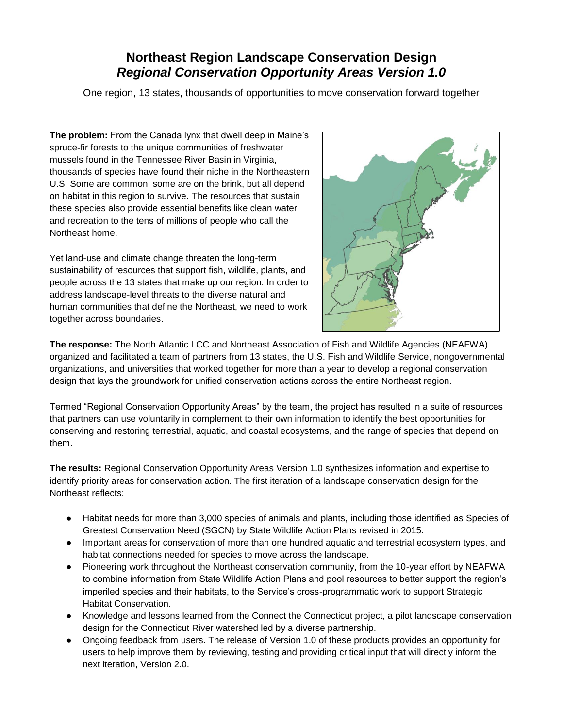## **Northeast Region Landscape Conservation Design** *Regional Conservation Opportunity Areas Version 1.0*

One region, 13 states, thousands of opportunities to move conservation forward together

**The problem:** From the Canada lynx that dwell deep in Maine's spruce-fir forests to the unique communities of freshwater mussels found in the Tennessee River Basin in Virginia, thousands of species have found their niche in the Northeastern U.S. Some are common, some are on the brink, but all depend on habitat in this region to survive. The resources that sustain these species also provide essential benefits like clean water and recreation to the tens of millions of people who call the Northeast home.

Yet land-use and climate change threaten the long-term sustainability of resources that support fish, wildlife, plants, and people across the 13 states that make up our region. In order to address landscape-level threats to the diverse natural and human communities that define the Northeast, we need to work together across boundaries.



**The response:** The North Atlantic LCC and Northeast Association of Fish and Wildlife Agencies (NEAFWA) organized and facilitated a team of partners from 13 states, the U.S. Fish and Wildlife Service, nongovernmental organizations, and universities that worked together for more than a year to develop a regional conservation design that lays the groundwork for unified conservation actions across the entire Northeast region.

Termed "Regional Conservation Opportunity Areas" by the team, the project has resulted in a suite of resources that partners can use voluntarily in complement to their own information to identify the best opportunities for conserving and restoring terrestrial, aquatic, and coastal ecosystems, and the range of species that depend on them.

**The results:** Regional Conservation Opportunity Areas Version 1.0 synthesizes information and expertise to identify priority areas for conservation action. The first iteration of a landscape conservation design for the Northeast reflects:

- Habitat needs for more than 3,000 species of animals and plants, including those identified as Species of Greatest Conservation Need (SGCN) by State Wildlife Action Plans revised in 2015.
- Important areas for conservation of more than one hundred aquatic and terrestrial ecosystem types, and habitat connections needed for species to move across the landscape.
- Pioneering work throughout the Northeast conservation community, from the 10-year effort by NEAFWA to combine information from State Wildlife Action Plans and pool resources to better support the region's imperiled species and their habitats, to the Service's cross-programmatic work to support Strategic Habitat Conservation.
- Knowledge and lessons learned from the Connect the Connecticut project, a pilot landscape conservation design for the Connecticut River watershed led by a diverse partnership.
- Ongoing feedback from users. The release of Version 1.0 of these products provides an opportunity for users to help improve them by reviewing, testing and providing critical input that will directly inform the next iteration, Version 2.0.